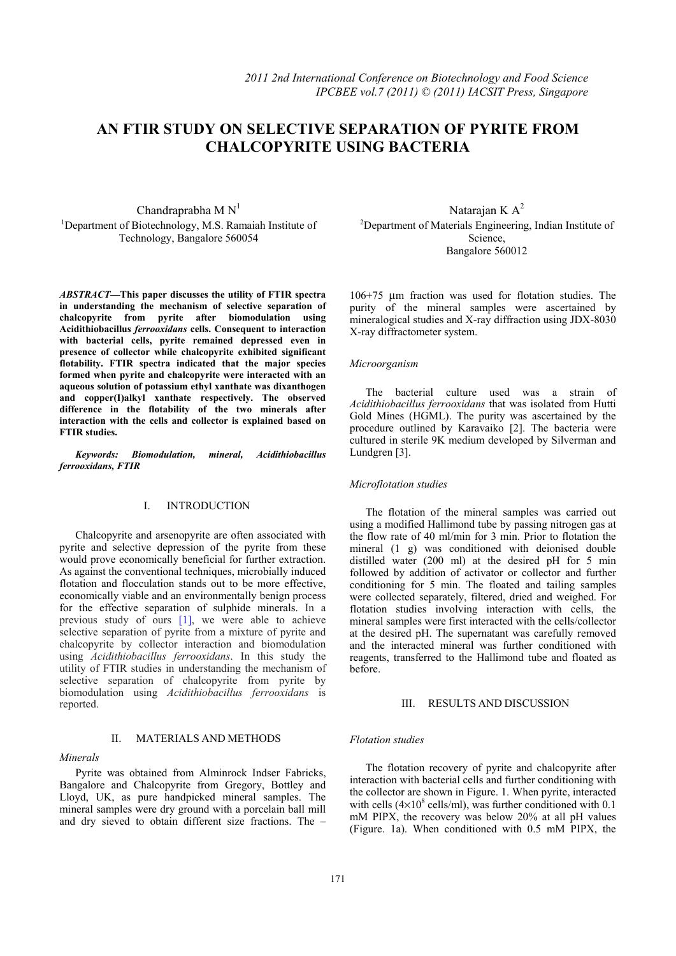# **AN FTIR STUDY ON SELECTIVE SEPARATION OF PYRITE FROM CHALCOPYRITE USING BACTERIA**

Chandraprabha  $M N<sup>1</sup>$ <sup>1</sup>Department of Biotechnology, M.S. Ramaiah Institute of Technology, Bangalore 560054

*ABSTRACT—***This paper discusses the utility of FTIR spectra in understanding the mechanism of selective separation of chalcopyrite from pyrite after biomodulation using Acidithiobacillus** *ferrooxidans* **cells. Consequent to interaction with bacterial cells, pyrite remained depressed even in presence of collector while chalcopyrite exhibited significant flotability. FTIR spectra indicated that the major species formed when pyrite and chalcopyrite were interacted with an aqueous solution of potassium ethyl xanthate was dixanthogen and copper(I)alkyl xanthate respectively. The observed difference in the flotability of the two minerals after interaction with the cells and collector is explained based on FTIR studies.** 

*Keywords: Biomodulation, mineral, Acidithiobacillus ferrooxidans, FTIR* 

# I. INTRODUCTION

Chalcopyrite and arsenopyrite are often associated with pyrite and selective depression of the pyrite from these would prove economically beneficial for further extraction. As against the conventional techniques, microbially induced flotation and flocculation stands out to be more effective, economically viable and an environmentally benign process for the effective separation of sulphide minerals. In a previous study of ours [1], we were able to achieve selective separation of pyrite from a mixture of pyrite and chalcopyrite by collector interaction and biomodulation using *Acidithiobacillus ferrooxidans*. In this study the utility of FTIR studies in understanding the mechanism of selective separation of chalcopyrite from pyrite by biomodulation using *Acidithiobacillus ferrooxidans* is reported.

## II. MATERIALS AND METHODS

#### *Minerals*

Pyrite was obtained from Alminrock Indser Fabricks, Bangalore and Chalcopyrite from Gregory, Bottley and Lloyd, UK, as pure handpicked mineral samples. The mineral samples were dry ground with a porcelain ball mill and dry sieved to obtain different size fractions. The –

Natarajan K $A^2$ <sup>2</sup>Department of Materials Engineering, Indian Institute of Science, Bangalore 560012

106+75 μm fraction was used for flotation studies. The purity of the mineral samples were ascertained by mineralogical studies and X-ray diffraction using JDX-8030 X-ray diffractometer system.

## *Microorganism*

The bacterial culture used was a strain of *Acidithiobacillus ferrooxidans* that was isolated from Hutti Gold Mines (HGML). The purity was ascertained by the procedure outlined by Karavaiko [2]. The bacteria were cultured in sterile 9K medium developed by Silverman and Lundgren [3].

# *Microflotation studies*

The flotation of the mineral samples was carried out using a modified Hallimond tube by passing nitrogen gas at the flow rate of 40 ml/min for 3 min. Prior to flotation the mineral (1 g) was conditioned with deionised double distilled water (200 ml) at the desired pH for 5 min followed by addition of activator or collector and further conditioning for 5 min. The floated and tailing samples were collected separately, filtered, dried and weighed. For flotation studies involving interaction with cells, the mineral samples were first interacted with the cells/collector at the desired pH. The supernatant was carefully removed and the interacted mineral was further conditioned with reagents, transferred to the Hallimond tube and floated as before.

## III. RESULTS AND DISCUSSION

## *Flotation studies*

The flotation recovery of pyrite and chalcopyrite after interaction with bacterial cells and further conditioning with the collector are shown in Figure. 1. When pyrite, interacted with cells ( $4\times10^8$  cells/ml), was further conditioned with 0.1 mM PIPX, the recovery was below 20% at all pH values (Figure. 1a). When conditioned with 0.5 mM PIPX, the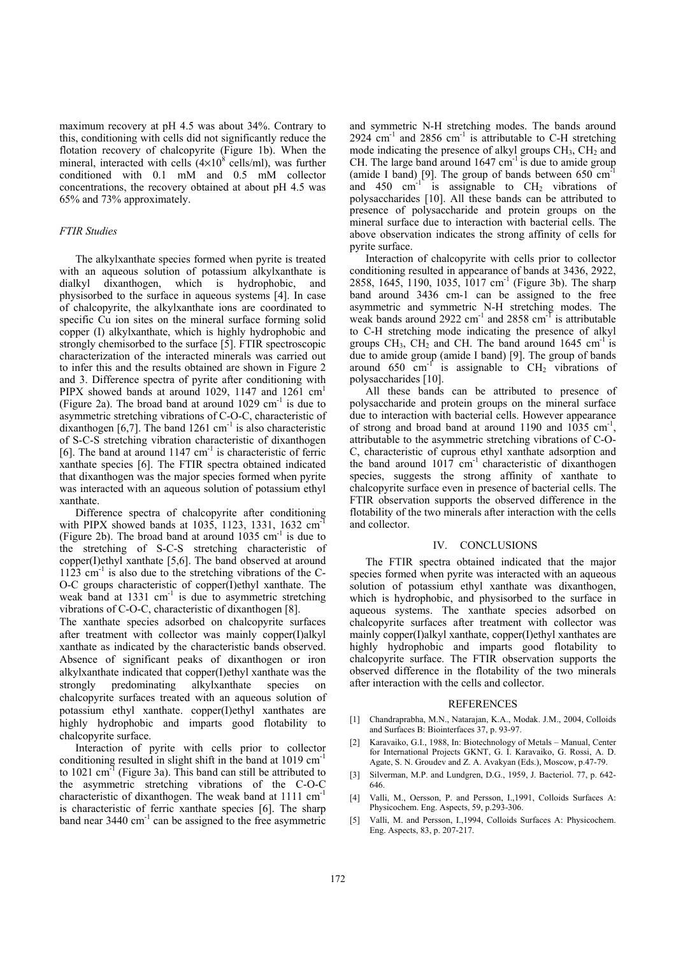maximum recovery at pH 4.5 was about 34%. Contrary to this, conditioning with cells did not significantly reduce the flotation recovery of chalcopyrite (Figure 1b). When the mineral, interacted with cells  $(4\times10^8 \text{ cells/ml})$ , was further conditioned with 0.1 mM and 0.5 mM collector concentrations, the recovery obtained at about pH 4.5 was 65% and 73% approximately.

## *FTIR Studies*

The alkylxanthate species formed when pyrite is treated with an aqueous solution of potassium alkylxanthate is dialkyl dixanthogen, which is hydrophobic, and physisorbed to the surface in aqueous systems [4]. In case of chalcopyrite, the alkylxanthate ions are coordinated to specific Cu ion sites on the mineral surface forming solid copper (I) alkylxanthate, which is highly hydrophobic and strongly chemisorbed to the surface [5]. FTIR spectroscopic characterization of the interacted minerals was carried out to infer this and the results obtained are shown in Figure 2 and 3. Difference spectra of pyrite after conditioning with PIPX showed bands at around 1029, 1147 and 1261  $cm<sup>1</sup>$ (Figure 2a). The broad band at around  $1029 \text{ cm}^{-1}$  is due to asymmetric stretching vibrations of C-O-C, characteristic of dixanthogen  $[6,7]$ . The band 1261 cm<sup>-1</sup> is also characteristic of S-C-S stretching vibration characteristic of dixanthogen [6]. The band at around  $1147 \text{ cm}^{-1}$  is characteristic of ferric xanthate species [6]. The FTIR spectra obtained indicated that dixanthogen was the major species formed when pyrite was interacted with an aqueous solution of potassium ethyl xanthate.

Difference spectra of chalcopyrite after conditioning with PIPX showed bands at 1035, 1123, 1331, 1632 cm<sup>-1</sup> (Figure 2b). The broad band at around  $1035 \text{ cm}^{-1}$  is due to the stretching of S-C-S stretching characteristic of copper(I)ethyl xanthate [5,6]. The band observed at around  $1123$  cm<sup>-1</sup> is also due to the stretching vibrations of the C-O-C groups characteristic of copper(I)ethyl xanthate. The weak band at  $1331 \text{ cm}^{-1}$  is due to asymmetric stretching vibrations of C-O-C, characteristic of dixanthogen [8].

The xanthate species adsorbed on chalcopyrite surfaces after treatment with collector was mainly copper(I)alkyl xanthate as indicated by the characteristic bands observed. Absence of significant peaks of dixanthogen or iron alkylxanthate indicated that copper(I)ethyl xanthate was the strongly predominating alkylxanthate species on chalcopyrite surfaces treated with an aqueous solution of potassium ethyl xanthate. copper(I)ethyl xanthates are highly hydrophobic and imparts good flotability to chalcopyrite surface.

Interaction of pyrite with cells prior to collector conditioning resulted in slight shift in the band at 1019 cm-1 to  $1021 \text{ cm}^3$  (Figure 3a). This band can still be attributed to the asymmetric stretching vibrations of the C-O-C characteristic of dixanthogen. The weak band at 1111 cm<sup>-1</sup> is characteristic of ferric xanthate species [6]. The sharp band near  $3440 \text{ cm}^{-1}$  can be assigned to the free asymmetric

and symmetric N-H stretching modes. The bands around 2924  $\text{cm}^{-1}$  and 2856  $\text{cm}^{-1}$  is attributable to C-H stretching mode indicating the presence of alkyl groups  $CH<sub>3</sub>$ ,  $CH<sub>2</sub>$  and CH. The large band around  $1647 \text{ cm}^{-1}$  is due to amide group (amide I band) [9]. The group of bands between 650 cm-1 and 450  $cm^{-1}$  is assignable to  $CH<sub>2</sub>$  vibrations of polysaccharides [10]. All these bands can be attributed to presence of polysaccharide and protein groups on the mineral surface due to interaction with bacterial cells. The above observation indicates the strong affinity of cells for pyrite surface.

Interaction of chalcopyrite with cells prior to collector conditioning resulted in appearance of bands at 3436, 2922, 2858, 1645, 1190, 1035, 1017 cm<sup>-1</sup> (Figure 3b). The sharp band around 3436 cm-1 can be assigned to the free asymmetric and symmetric N-H stretching modes. The weak bands around  $2922 \text{ cm}^{-1}$  and  $2858 \text{ cm}^{-1}$  is attributable to C-H stretching mode indicating the presence of alkyl groups  $CH_3$ ,  $CH_2$  and CH. The band around 1645 cm<sup>-1</sup> is due to amide group (amide I band) [9]. The group of bands around 650  $\text{cm}^{-1}$  is assignable to CH<sub>2</sub> vibrations of polysaccharides [10].

All these bands can be attributed to presence of polysaccharide and protein groups on the mineral surface due to interaction with bacterial cells. However appearance of strong and broad band at around 1190 and 1035 cm<sup>-1</sup> attributable to the asymmetric stretching vibrations of C-O-C, characteristic of cuprous ethyl xanthate adsorption and the band around  $1017$  cm<sup>-1</sup> characteristic of dixanthogen species, suggests the strong affinity of xanthate to chalcopyrite surface even in presence of bacterial cells. The FTIR observation supports the observed difference in the flotability of the two minerals after interaction with the cells and collector.

## IV. CONCLUSIONS

The FTIR spectra obtained indicated that the major species formed when pyrite was interacted with an aqueous solution of potassium ethyl xanthate was dixanthogen, which is hydrophobic, and physisorbed to the surface in aqueous systems. The xanthate species adsorbed on chalcopyrite surfaces after treatment with collector was mainly copper(I)alkyl xanthate, copper(I)ethyl xanthates are highly hydrophobic and imparts good flotability to chalcopyrite surface. The FTIR observation supports the observed difference in the flotability of the two minerals after interaction with the cells and collector.

## **REFERENCES**

- [1] Chandraprabha, M.N., Natarajan, K.A., Modak. J.M., 2004, Colloids and Surfaces B: Biointerfaces 37, p. 93-97.
- [2] Karavaiko, G.I., 1988, In: Biotechnology of Metals Manual, Center for International Projects GKNT, G. I. Karavaiko, G. Rossi, A. D. Agate, S. N. Groudev and Z. A. Avakyan (Eds.), Moscow, p.47-79.
- [3] Silverman, M.P. and Lundgren, D.G., 1959, J. Bacteriol. 77, p. 642- 646.
- [4] Valli, M., Oersson, P. and Persson, I.,1991, Colloids Surfaces A: Physicochem. Eng. Aspects, 59, p.293-306.
- [5] Valli, M. and Persson, I.,1994, Colloids Surfaces A: Physicochem. Eng. Aspects, 83, p. 207-217.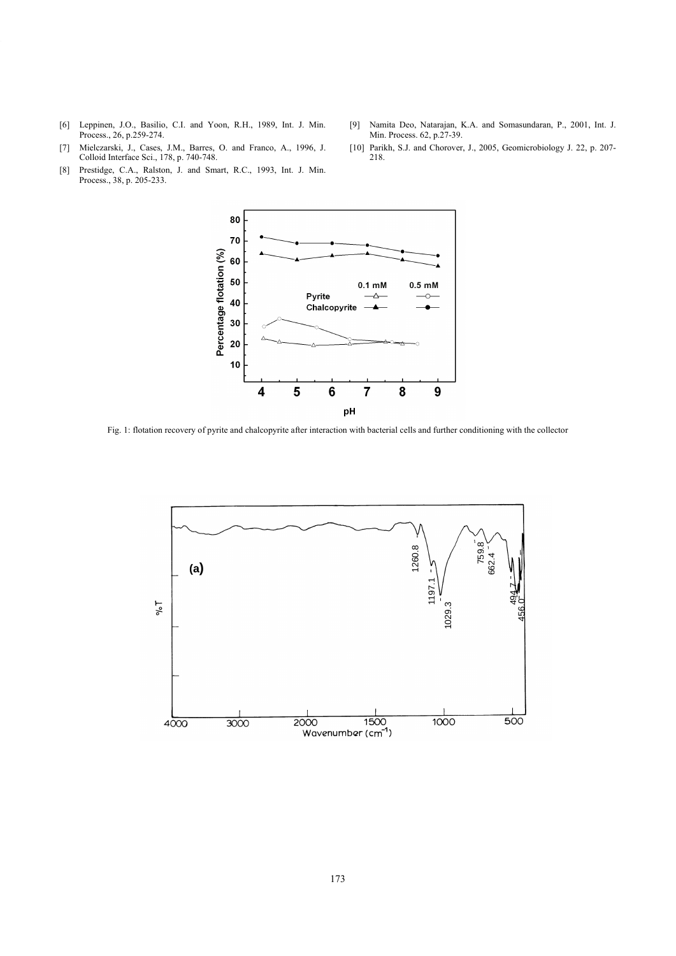- [6] Leppinen, J.O., Basilio, C.I. and Yoon, R.H., 1989, Int. J. Min. Process., 26, p.259-274.
- [9] Namita Deo, Natarajan, K.A. and Somasundaran, P., 2001, Int. J. Min. Process. 62, p.27-39. [10] Parikh, S.J. and Chorover, J., 2005, Geomicrobiology J. 22, p. 207-
- [7] Mielczarski, J., Cases, J.M., Barres, O. and Franco, A., 1996, J. Colloid Interface Sci., 178, p. 740-748.
- [8] Prestidge, C.A., Ralston, J. and Smart, R.C., 1993, Int. J. Min. Process., 38, p. 205-233.



218.

Fig. 1: flotation recovery of pyrite and chalcopyrite after interaction with bacterial cells and further conditioning with the collector

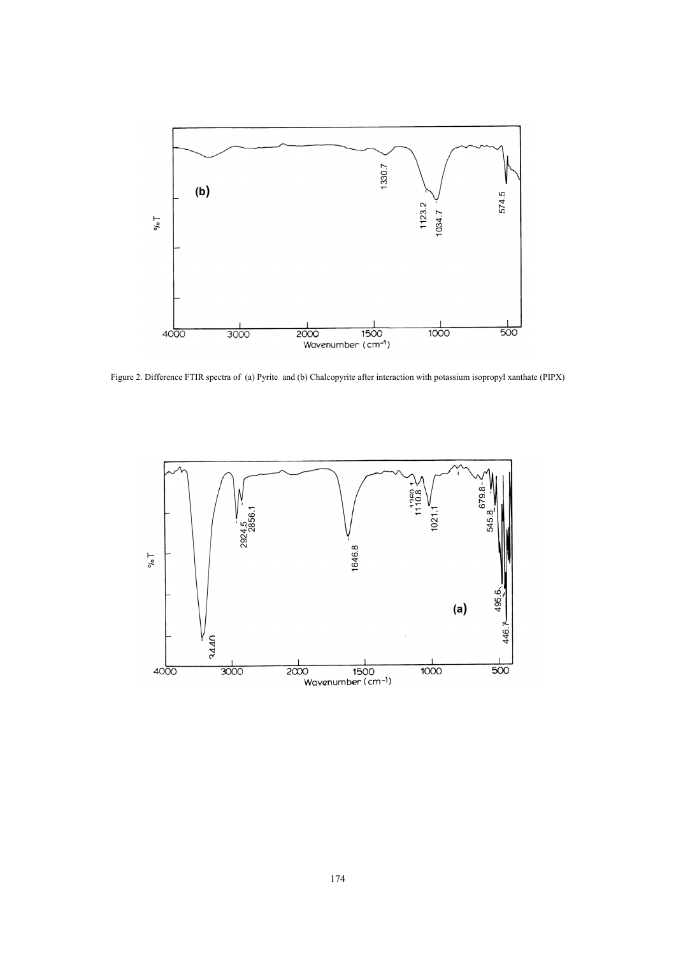

Figure 2. Difference FTIR spectra of (a) Pyrite and (b) Chalcopyrite after interaction with potassium isopropyl xanthate (PIPX)